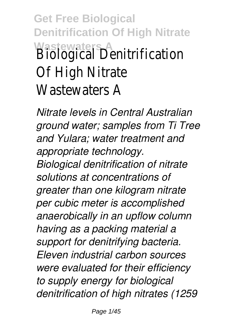**Get Free Biological Denitrification Of High Nitrate Wastewaters A** Biological Denitrification Of High Nitrate Wastewaters A

*Nitrate levels in Central Australian ground water; samples from Ti Tree and Yulara; water treatment and appropriate technology. Biological denitrification of nitrate solutions at concentrations of greater than one kilogram nitrate per cubic meter is accomplished anaerobically in an upflow column having as a packing material a support for denitrifying bacteria. Eleven industrial carbon sources were evaluated for their efficiency to supply energy for biological denitrification of high nitrates (1259*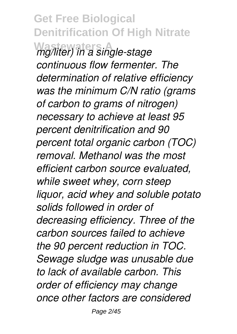**Get Free Biological Denitrification Of High Nitrate Wastewaters A** *mg/liter) in a single-stage continuous flow fermenter. The determination of relative efficiency was the minimum C/N ratio (grams of carbon to grams of nitrogen) necessary to achieve at least 95 percent denitrification and 90 percent total organic carbon (TOC) removal. Methanol was the most efficient carbon source evaluated, while sweet whey, corn steep liquor, acid whey and soluble potato solids followed in order of decreasing efficiency. Three of the carbon sources failed to achieve the 90 percent reduction in TOC. Sewage sludge was unusable due to lack of available carbon. This order of efficiency may change once other factors are considered*

Page 2/45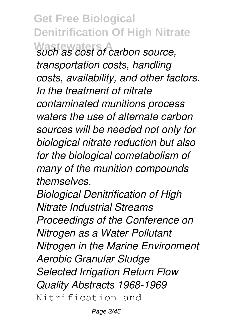**Get Free Biological Denitrification Of High Nitrate Wastewaters A** *such as cost of carbon source, transportation costs, handling costs, availability, and other factors. In the treatment of nitrate contaminated munitions process waters the use of alternate carbon sources will be needed not only for biological nitrate reduction but also for the biological cometabolism of many of the munition compounds themselves. Biological Denitrification of High*

*Nitrate Industrial Streams Proceedings of the Conference on Nitrogen as a Water Pollutant Nitrogen in the Marine Environment Aerobic Granular Sludge Selected Irrigation Return Flow Quality Abstracts 1968-1969* Nitrification and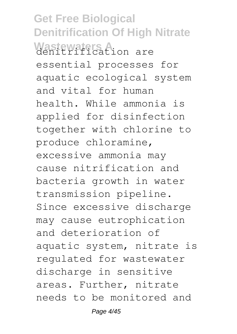**Get Free Biological Denitrification Of High Nitrate** Wastewaters A<sub>ion are</sub> essential processes for aquatic ecological system and vital for human health. While ammonia is applied for disinfection together with chlorine to produce chloramine, excessive ammonia may cause nitrification and bacteria growth in water transmission pipeline. Since excessive discharge may cause eutrophication and deterioration of aquatic system, nitrate is regulated for wastewater discharge in sensitive areas. Further, nitrate needs to be monitored and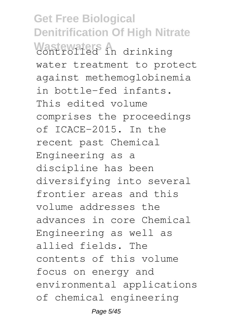**Get Free Biological Denitrification Of High Nitrate** Wastewated in drinking water treatment to protect against methemoglobinemia in bottle-fed infants. This edited volume comprises the proceedings of ICACE-2015. In the recent past Chemical Engineering as a discipline has been diversifying into several frontier areas and this volume addresses the advances in core Chemical Engineering as well as allied fields. The contents of this volume focus on energy and environmental applications of chemical engineering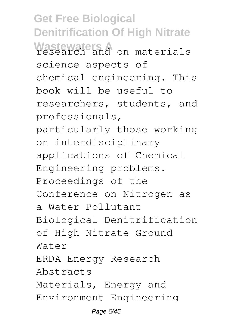**Get Free Biological Denitrification Of High Nitrate** Wastewaters A on materials science aspects of chemical engineering. This book will be useful to researchers, students, and professionals, particularly those working on interdisciplinary applications of Chemical Engineering problems. Proceedings of the Conference on Nitrogen as a Water Pollutant Biological Denitrification of High Nitrate Ground Water ERDA Energy Research Abstracts Materials, Energy and Environment Engineering

Page 6/45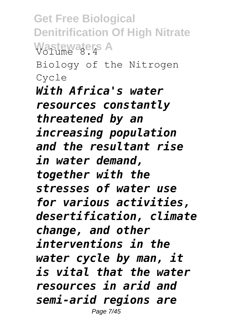**Get Free Biological Denitrification Of High Nitrate Wastewaters A** Biology of the Nitrogen Cycle *With Africa's water resources constantly threatened by an increasing population and the resultant rise in water demand, together with the stresses of water use for various activities, desertification, climate change, and other interventions in the water cycle by man, it is vital that the water resources in arid and semi-arid regions are* Page 7/45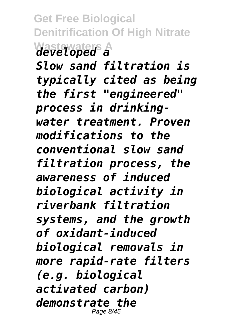**Get Free Biological Denitrification Of High Nitrate Wastewaters A** *developed a*

*Slow sand filtration is typically cited as being the first "engineered" process in drinkingwater treatment. Proven modifications to the conventional slow sand filtration process, the awareness of induced biological activity in riverbank filtration systems, and the growth of oxidant-induced biological removals in more rapid-rate filters (e.g. biological activated carbon) demonstrate the* Page 8/45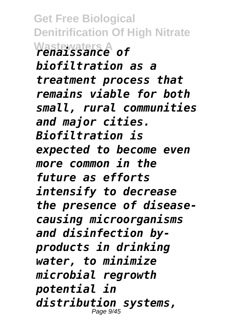**Get Free Biological Denitrification Of High Nitrate Wastewaters A** *renaissance of biofiltration as a treatment process that remains viable for both small, rural communities and major cities. Biofiltration is expected to become even more common in the future as efforts intensify to decrease the presence of diseasecausing microorganisms and disinfection byproducts in drinking water, to minimize microbial regrowth potential in distribution systems,* Page 9/45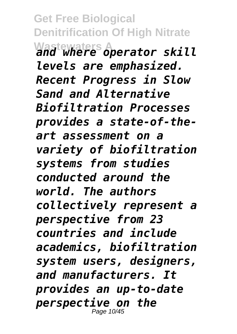**Get Free Biological Denitrification Of High Nitrate Wastewaters A** *and where operator skill levels are emphasized. Recent Progress in Slow Sand and Alternative Biofiltration Processes provides a state-of-theart assessment on a variety of biofiltration systems from studies conducted around the world. The authors collectively represent a perspective from 23 countries and include academics, biofiltration system users, designers, and manufacturers. It provides an up-to-date perspective on the* Page 10/45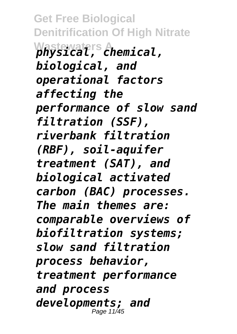**Get Free Biological Denitrification Of High Nitrate Wastewaters A** *physical, chemical, biological, and operational factors affecting the performance of slow sand filtration (SSF), riverbank filtration (RBF), soil-aquifer treatment (SAT), and biological activated carbon (BAC) processes. The main themes are: comparable overviews of biofiltration systems; slow sand filtration process behavior, treatment performance and process developments; and* Page 11/45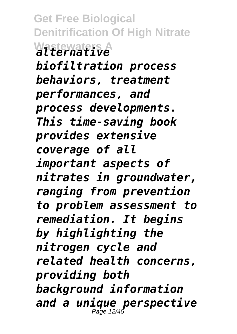**Get Free Biological Denitrification Of High Nitrate Wastewaters A** *alternative biofiltration process behaviors, treatment performances, and process developments. This time-saving book provides extensive coverage of all important aspects of nitrates in groundwater, ranging from prevention to problem assessment to remediation. It begins by highlighting the nitrogen cycle and related health concerns, providing both background information and a unique perspective* Page 12/45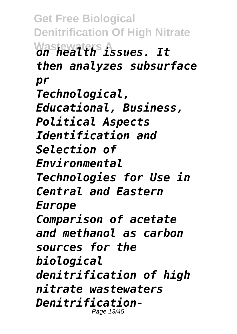**Get Free Biological Denitrification Of High Nitrate Wastewaters A** *on health issues. It then analyzes subsurface pr Technological, Educational, Business, Political Aspects Identification and Selection of Environmental Technologies for Use in Central and Eastern Europe Comparison of acetate and methanol as carbon sources for the biological denitrification of high nitrate wastewaters Denitrification-*Page 13/45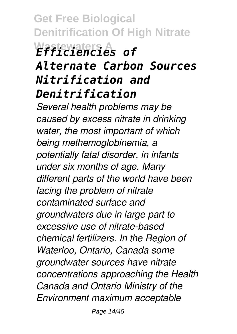**Get Free Biological Denitrification Of High Nitrate Wastewaters A** *Efficiencies of Alternate Carbon Sources Nitrification and Denitrification*

*Several health problems may be caused by excess nitrate in drinking water, the most important of which being methemoglobinemia, a potentially fatal disorder, in infants under six months of age. Many different parts of the world have been facing the problem of nitrate contaminated surface and groundwaters due in large part to excessive use of nitrate-based chemical fertilizers. In the Region of Waterloo, Ontario, Canada some groundwater sources have nitrate concentrations approaching the Health Canada and Ontario Ministry of the Environment maximum acceptable*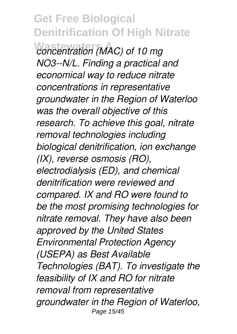**Wastewaters A** *concentration (MAC) of 10 mg NO3--N/L. Finding a practical and economical way to reduce nitrate concentrations in representative groundwater in the Region of Waterloo was the overall objective of this research. To achieve this goal, nitrate removal technologies including biological denitrification, ion exchange (IX), reverse osmosis (RO), electrodialysis (ED), and chemical denitrification were reviewed and compared. IX and RO were found to be the most promising technologies for nitrate removal. They have also been approved by the United States Environmental Protection Agency (USEPA) as Best Available Technologies (BAT). To investigate the feasibility of IX and RO for nitrate removal from representative groundwater in the Region of Waterloo,* Page 15/45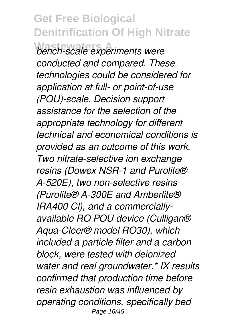**Wastewaters A** *bench-scale experiments were conducted and compared. These technologies could be considered for application at full- or point-of-use (POU)-scale. Decision support assistance for the selection of the appropriate technology for different technical and economical conditions is provided as an outcome of this work. Two nitrate-selective ion exchange resins (Dowex NSR-1 and Purolite® A-520E), two non-selective resins (Purolite® A-300E and Amberlite® IRA400 Cl), and a commerciallyavailable RO POU device (Culligan® Aqua-Cleer® model RO30), which included a particle filter and a carbon block, were tested with deionized water and real groundwater.\* IX results confirmed that production time before resin exhaustion was influenced by operating conditions, specifically bed* Page 16/45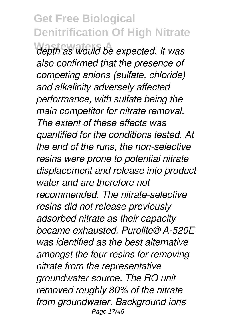**Wastewaters A** *depth as would be expected. It was also confirmed that the presence of competing anions (sulfate, chloride) and alkalinity adversely affected performance, with sulfate being the main competitor for nitrate removal. The extent of these effects was quantified for the conditions tested. At the end of the runs, the non-selective resins were prone to potential nitrate displacement and release into product water and are therefore not recommended. The nitrate-selective resins did not release previously adsorbed nitrate as their capacity became exhausted. Purolite® A-520E was identified as the best alternative amongst the four resins for removing nitrate from the representative groundwater source. The RO unit removed roughly 80% of the nitrate from groundwater. Background ions* Page 17/45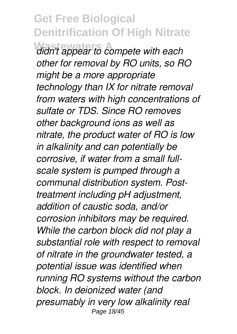**Wastewaters A** *didn't appear to compete with each other for removal by RO units, so RO might be a more appropriate technology than IX for nitrate removal from waters with high concentrations of sulfate or TDS. Since RO removes other background ions as well as nitrate, the product water of RO is low in alkalinity and can potentially be corrosive, if water from a small fullscale system is pumped through a communal distribution system. Posttreatment including pH adjustment, addition of caustic soda, and/or corrosion inhibitors may be required. While the carbon block did not play a substantial role with respect to removal of nitrate in the groundwater tested, a potential issue was identified when running RO systems without the carbon block. In deionized water (and presumably in very low alkalinity real* Page 18/45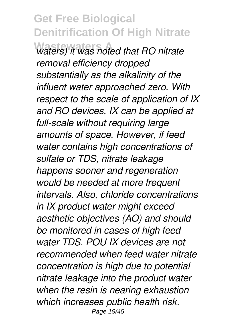$w$ aters) it was noted that RO nitrate *removal efficiency dropped substantially as the alkalinity of the influent water approached zero. With respect to the scale of application of IX and RO devices, IX can be applied at full-scale without requiring large amounts of space. However, if feed water contains high concentrations of sulfate or TDS, nitrate leakage happens sooner and regeneration would be needed at more frequent intervals. Also, chloride concentrations in IX product water might exceed aesthetic objectives (AO) and should be monitored in cases of high feed water TDS. POU IX devices are not recommended when feed water nitrate concentration is high due to potential nitrate leakage into the product water when the resin is nearing exhaustion which increases public health risk.* Page 19/45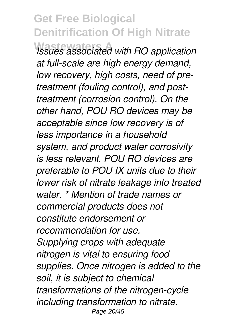**Wastewaters A** *Issues associated with RO application at full-scale are high energy demand, low recovery, high costs, need of pretreatment (fouling control), and posttreatment (corrosion control). On the other hand, POU RO devices may be acceptable since low recovery is of less importance in a household system, and product water corrosivity is less relevant. POU RO devices are preferable to POU IX units due to their lower risk of nitrate leakage into treated water. \* Mention of trade names or commercial products does not constitute endorsement or recommendation for use. Supplying crops with adequate nitrogen is vital to ensuring food supplies. Once nitrogen is added to the soil, it is subject to chemical transformations of the nitrogen-cycle including transformation to nitrate.* Page 20/45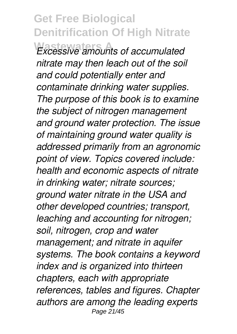**Wastewaters A** *Excessive amounts of accumulated nitrate may then leach out of the soil and could potentially enter and contaminate drinking water supplies. The purpose of this book is to examine the subject of nitrogen management and ground water protection. The issue of maintaining ground water quality is addressed primarily from an agronomic point of view. Topics covered include: health and economic aspects of nitrate in drinking water; nitrate sources; ground water nitrate in the USA and other developed countries; transport, leaching and accounting for nitrogen; soil, nitrogen, crop and water management; and nitrate in aquifer systems. The book contains a keyword index and is organized into thirteen chapters, each with appropriate references, tables and figures. Chapter authors are among the leading experts* Page 21/45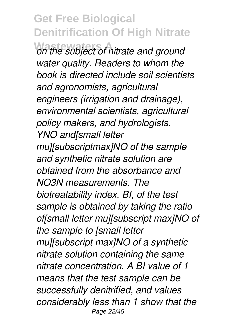**Wastewaters A** *on the subject of nitrate and ground water quality. Readers to whom the book is directed include soil scientists and agronomists, agricultural engineers (irrigation and drainage), environmental scientists, agricultural policy makers, and hydrologists. YNO and[small letter mu][subscriptmax]NO of the sample and synthetic nitrate solution are obtained from the absorbance and NO3N measurements. The biotreatability index, BI, of the test sample is obtained by taking the ratio of[small letter mu][subscript max]NO of the sample to [small letter mu][subscript max]NO of a synthetic nitrate solution containing the same nitrate concentration. A BI value of 1 means that the test sample can be successfully denitrified, and values considerably less than 1 show that the* Page 22/45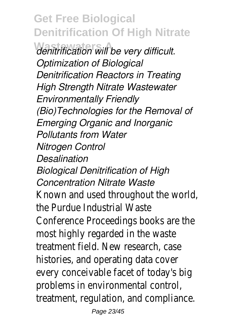**Wastewaters A** *denitrification will be very difficult. Optimization of Biological Denitrification Reactors in Treating High Strength Nitrate Wastewater Environmentally Friendly (Bio)Technologies for the Removal of Emerging Organic and Inorganic Pollutants from Water Nitrogen Control Desalination Biological Denitrification of High Concentration Nitrate Waste* Known and used throughout the world the Purdue Industrial Waste Conference Proceedings books are the most highly regarded in the waste treatment field. New research, case histories, and operating data cover every conceivable facet of today's big problems in environmental control, treatment, regulation, and compliance.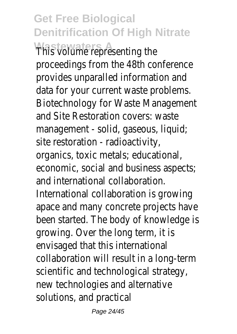**Wastewaters A Presenting the** proceedings from the 48th conference provides unparalled information and data for your current waste problems. Biotechnology for Waste Management and Site Restoration covers: waste management - solid, gaseous, liquid; site restoration - radioactivity, organics, toxic metals; educational,

economic, social and business aspects; and international collaboration.

International collaboration is growing apace and many concrete projects have been started. The body of knowledge is growing. Over the long term, it is envisaged that this international collaboration will result in a long-term scientific and technological strategy, new technologies and alternative solutions, and practical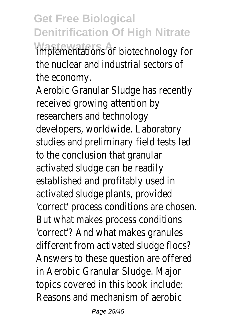**Wastewaters A** implementations of biotechnology for the nuclear and industrial sectors of the economy.

Aerobic Granular Sludge has recently received growing attention by researchers and technology developers, worldwide. Laboratory studies and preliminary field tests led to the conclusion that granular activated sludge can be readily established and profitably used in activated sludge plants, provided 'correct' process conditions are choser But what makes process conditions 'correct'? And what makes granules different from activated sludge flocs? Answers to these question are offered in Aerobic Granular Sludge. Major topics covered in this book include: Reasons and mechanism of aerobic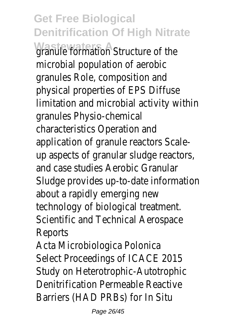**Wastewaters A** ion Structure of the microbial population of aerobic granules Role, composition and physical properties of EPS Diffuse limitation and microbial activity within granules Physio-chemical characteristics Operation and application of granule reactors Scaleup aspects of granular sludge reactors, and case studies Aerobic Granular Sludge provides up-to-date information about a rapidly emerging new technology of biological treatment. Scientific and Technical Aerospace Reports

Acta Microbiologica Polonica Select Proceedings of ICACE 2015 Study on Heterotrophic-Autotrophic Denitrification Permeable Reactive Barriers (HAD PRBs) for In Situ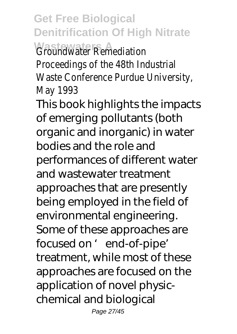**Get Free Biological Denitrification Of High Nitrate** *<u>Groundwater</u>* Remediation Proceedings of the 48th Industrial Waste Conference Purdue University, May 1993 This book highlights the impacts of emerging pollutants (both organic and inorganic) in water bodies and the role and performances of different water and wastewater treatment approaches that are presently being employed in the field of environmental engineering. Some of these approaches are focused on ' end-of-pipe' treatment, while most of these approaches are focused on the application of novel physicchemical and biological

Page 27/45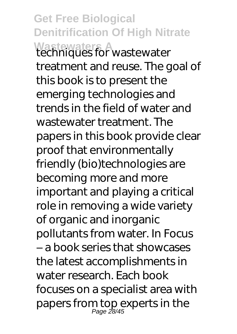**Get Free Biological Denitrification Of High Nitrate Wastewaters A** techniques for wastewater treatment and reuse. The goal of this book is to present the emerging technologies and trends in the field of water and wastewater treatment. The papers in this book provide clear proof that environmentally friendly (bio)technologies are becoming more and more important and playing a critical role in removing a wide variety of organic and inorganic pollutants from water. In Focus – a book series that showcases the latest accomplishments in water research. Each book focuses on a specialist area with papers from top experts in the Page 28/45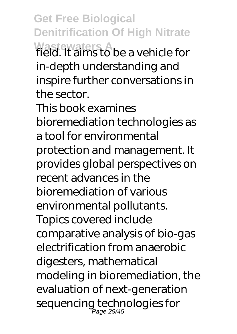**Get Free Biological Denitrification Of High Nitrate Wastewaters A** field. It aims to be a vehicle for in-depth understanding and inspire further conversations in the sector.

This book examines bioremediation technologies as a tool for environmental protection and management. It provides global perspectives on recent advances in the bioremediation of various environmental pollutants. Topics covered include comparative analysis of bio-gas electrification from anaerobic digesters, mathematical modeling in bioremediation, the evaluation of next-generation sequencing technologies for Page 29/45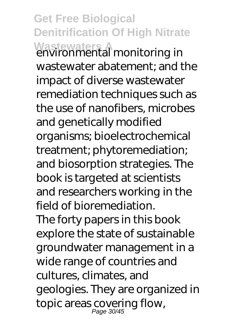**Get Free Biological Denitrification Of High Nitrate** wastewaters **A**<br>environmental monitoring in wastewater abatement; and the impact of diverse wastewater remediation techniques such as the use of nanofibers, microbes and genetically modified organisms; bioelectrochemical treatment; phytoremediation; and biosorption strategies. The book is targeted at scientists and researchers working in the field of bioremediation. The forty papers in this book explore the state of sustainable groundwater management in a wide range of countries and cultures, climates, and geologies. They are organized in topic areas covering flow, Page 30/45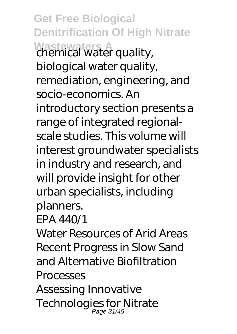**Get Free Biological Denitrification Of High Nitrate Wastewaters A** chemical water quality, biological water quality, remediation, engineering, and socio-economics. An introductory section presents a range of integrated regionalscale studies. This volume will interest groundwater specialists in industry and research, and will provide insight for other urban specialists, including planners.

#### EPA 440/1

Water Resources of Arid Areas Recent Progress in Slow Sand and Alternative Biofiltration Processes

Assessing Innovative Technologies for Nitrate Page 31/45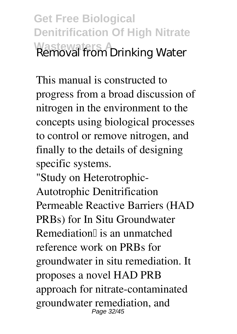**Get Free Biological Denitrification Of High Nitrate Wastewaters A** Removal from Drinking Water

This manual is constructed to progress from a broad discussion of nitrogen in the environment to the concepts using biological processes to control or remove nitrogen, and finally to the details of designing specific systems.

"Study on Heterotrophic-Autotrophic Denitrification Permeable Reactive Barriers (HAD PRBs) for In Situ Groundwater Remediation $\parallel$  is an unmatched reference work on PRBs for groundwater in situ remediation. It proposes a novel HAD PRB approach for nitrate-contaminated groundwater remediation, and Page 32/45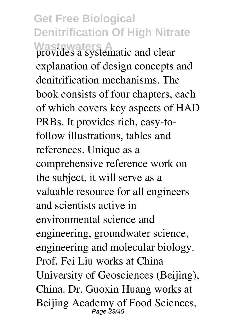**Get Free Biological Denitrification Of High Nitrate Wastewaters A** provides a systematic and clear explanation of design concepts and denitrification mechanisms. The book consists of four chapters, each of which covers key aspects of HAD PRBs. It provides rich, easy-tofollow illustrations, tables and references. Unique as a comprehensive reference work on the subject, it will serve as a valuable resource for all engineers and scientists active in environmental science and engineering, groundwater science, engineering and molecular biology. Prof. Fei Liu works at China University of Geosciences (Beijing), China. Dr. Guoxin Huang works at Beijing Academy of Food Sciences,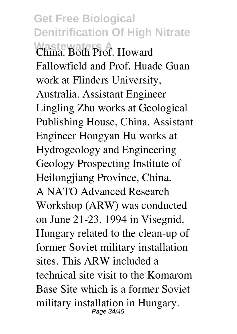**Get Free Biological Denitrification Of High Nitrate Wastewaters A**<br>China. Both Prof. Howard Fallowfield and Prof. Huade Guan work at Flinders University, Australia. Assistant Engineer Lingling Zhu works at Geological Publishing House, China. Assistant Engineer Hongyan Hu works at Hydrogeology and Engineering Geology Prospecting Institute of Heilongjiang Province, China. A NATO Advanced Research Workshop (ARW) was conducted on June 21-23, 1994 in Visegnid, Hungary related to the clean-up of former Soviet military installation sites. This ARW included a technical site visit to the Komarom Base Site which is a former Soviet military installation in Hungary. Page 34/45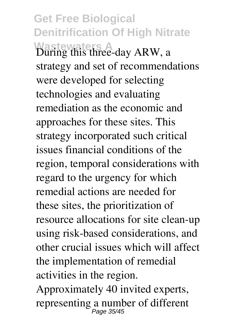**Get Free Biological Denitrification Of High Nitrate Wastewaters A** During this three-day ARW, a strategy and set of recommendations were developed for selecting technologies and evaluating remediation as the economic and approaches for these sites. This strategy incorporated such critical issues financial conditions of the region, temporal considerations with regard to the urgency for which remedial actions are needed for these sites, the prioritization of resource allocations for site clean-up using risk-based considerations, and other crucial issues which will affect the implementation of remedial activities in the region.

Approximately 40 invited experts, representing a number of different Page 35/45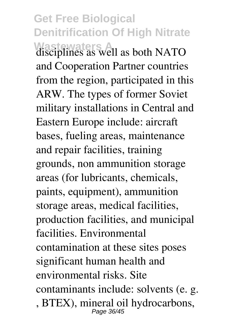**Get Free Biological Denitrification Of High Nitrate** disciplines as well as both NATO and Cooperation Partner countries from the region, participated in this ARW. The types of former Soviet military installations in Central and Eastern Europe include: aircraft bases, fueling areas, maintenance and repair facilities, training grounds, non ammunition storage areas (for lubricants, chemicals, paints, equipment), ammunition storage areas, medical facilities, production facilities, and municipal facilities. Environmental contamination at these sites poses significant human health and environmental risks. Site contaminants include: solvents (e. g. , BTEX), mineral oil hydrocarbons, Page 36/45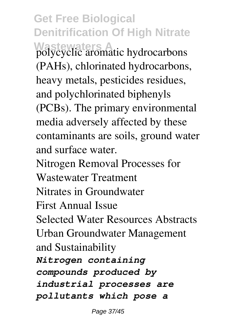**Get Free Biological Denitrification Of High Nitrate Wastewaters A** polycyclic aromatic hydrocarbons (PAHs), chlorinated hydrocarbons, heavy metals, pesticides residues, and polychlorinated biphenyls (PCBs). The primary environmental media adversely affected by these contaminants are soils, ground water and surface water. Nitrogen Removal Processes for Wastewater Treatment Nitrates in Groundwater First Annual Issue Selected Water Resources Abstracts Urban Groundwater Management and Sustainability *Nitrogen containing compounds produced by industrial processes are pollutants which pose a*

Page 37/45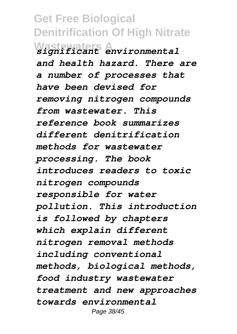**Get Free Biological Denitrification Of High Nitrate Wastewaters A** *significant environmental and health hazard. There are a number of processes that have been devised for removing nitrogen compounds from wastewater. This reference book summarizes different denitrification methods for wastewater processing. The book introduces readers to toxic nitrogen compounds responsible for water pollution. This introduction is followed by chapters which explain different nitrogen removal methods including conventional methods, biological methods, food industry wastewater treatment and new approaches towards environmental* Page 38/45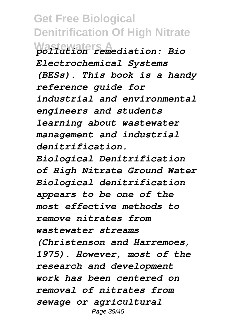**Get Free Biological Denitrification Of High Nitrate Wastewaters A** *pollution remediation: Bio Electrochemical Systems (BESs). This book is a handy reference guide for industrial and environmental engineers and students learning about wastewater management and industrial denitrification.*

*Biological Denitrification of High Nitrate Ground Water Biological denitrification appears to be one of the most effective methods to remove nitrates from wastewater streams (Christenson and Harremoes,*

*1975). However, most of the research and development work has been centered on removal of nitrates from sewage or agricultural* Page 39/45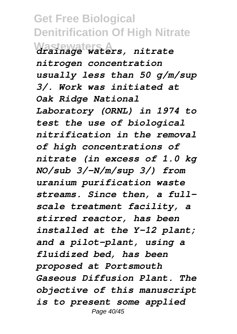**Get Free Biological Denitrification Of High Nitrate Wastewaters A** *drainage waters, nitrate nitrogen concentration usually less than 50 g/m/sup 3/. Work was initiated at Oak Ridge National Laboratory (ORNL) in 1974 to test the use of biological nitrification in the removal of high concentrations of nitrate (in excess of 1.0 kg NO/sub 3/-N/m/sup 3/) from uranium purification waste streams. Since then, a fullscale treatment facility, a stirred reactor, has been installed at the Y-12 plant; and a pilot-plant, using a fluidized bed, has been proposed at Portsmouth Gaseous Diffusion Plant. The objective of this manuscript is to present some applied* Page 40/45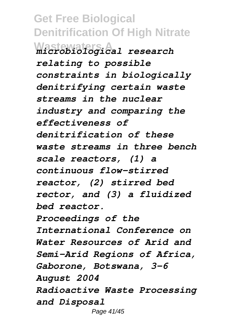**Get Free Biological Denitrification Of High Nitrate Wastewaters A** *microbiological research relating to possible constraints in biologically denitrifying certain waste streams in the nuclear industry and comparing the effectiveness of denitrification of these waste streams in three bench scale reactors, (1) a continuous flow-stirred reactor, (2) stirred bed rector, and (3) a fluidized bed reactor. Proceedings of the International Conference on Water Resources of Arid and Semi-Arid Regions of Africa, Gaborone, Botswana, 3-6 August 2004 Radioactive Waste Processing and Disposal* Page 41/45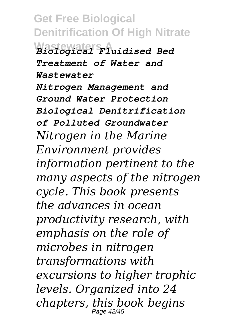**Get Free Biological Denitrification Of High Nitrate Wastewaters A** *Biological Fluidised Bed Treatment of Water and Wastewater Nitrogen Management and Ground Water Protection Biological Denitrification of Polluted Groundwater Nitrogen in the Marine Environment provides information pertinent to the many aspects of the nitrogen cycle. This book presents the advances in ocean productivity research, with emphasis on the role of microbes in nitrogen transformations with excursions to higher trophic levels. Organized into 24 chapters, this book begins* Page 42/45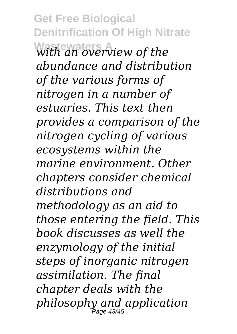**Get Free Biological Denitrification Of High Nitrate Wastewaters A** *with an overview of the abundance and distribution of the various forms of nitrogen in a number of estuaries. This text then provides a comparison of the nitrogen cycling of various ecosystems within the marine environment. Other chapters consider chemical distributions and methodology as an aid to those entering the field. This book discusses as well the enzymology of the initial steps of inorganic nitrogen assimilation. The final chapter deals with the philosophy and application* Page 43/45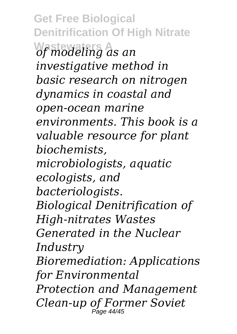**Get Free Biological Denitrification Of High Nitrate Wastewaters A** *of modeling as an investigative method in basic research on nitrogen dynamics in coastal and open-ocean marine environments. This book is a valuable resource for plant biochemists, microbiologists, aquatic ecologists, and bacteriologists. Biological Denitrification of High-nitrates Wastes Generated in the Nuclear Industry Bioremediation: Applications for Environmental Protection and Management Clean-up of Former Soviet* Page 44/45